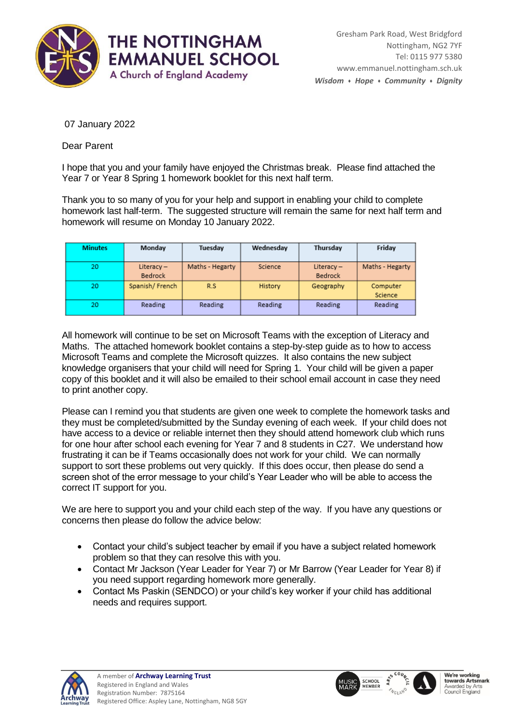

07 January 2022

Dear Parent

I hope that you and your family have enjoyed the Christmas break. Please find attached the Year 7 or Year 8 Spring 1 homework booklet for this next half term.

Thank you to so many of you for your help and support in enabling your child to complete homework last half-term. The suggested structure will remain the same for next half term and homework will resume on Monday 10 January 2022.

| <b>Minutes</b> | Monday                         | Tuesdav         | Wednesday | Thursday                       | Friday              |
|----------------|--------------------------------|-----------------|-----------|--------------------------------|---------------------|
| 20             | Literacy $-$<br><b>Bedrock</b> | Maths - Hegarty | Science   | Literacy $-$<br><b>Bedrock</b> | Maths - Hegarty     |
| 20             | Spanish/French                 | R.S             | History   | Geography                      | Computer<br>Science |
| 20             | Reading                        | Reading         | Reading   | Reading                        | Reading             |

All homework will continue to be set on Microsoft Teams with the exception of Literacy and Maths.The attached homework booklet contains a step-by-step guide as to how to access Microsoft Teams and complete the Microsoft quizzes. It also contains the new subject knowledge organisers that your child will need for Spring 1. Your child will be given a paper copy of this booklet and it will also be emailed to their school email account in case they need to print another copy.

Please can I remind you that students are given one week to complete the homework tasks and they must be completed/submitted by the Sunday evening of each week. If your child does not have access to a device or reliable internet then they should attend homework club which runs for one hour after school each evening for Year 7 and 8 students in C27. We understand how frustrating it can be if Teams occasionally does not work for your child. We can normally support to sort these problems out very quickly. If this does occur, then please do send a screen shot of the error message to your child's Year Leader who will be able to access the correct IT support for you.

We are here to support you and your child each step of the way. If you have any questions or concerns then please do follow the advice below:

- Contact your child's subject teacher by email if you have a subject related homework problem so that they can resolve this with you.
- Contact Mr Jackson (Year Leader for Year 7) or Mr Barrow (Year Leader for Year 8) if you need support regarding homework more generally.
- Contact Ms Paskin (SENDCO) or your child's key worker if your child has additional needs and requires support.